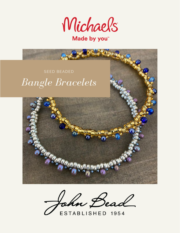

Made by you<sup>\*</sup>

# *Bangle Bracelets* SEED BEADED



John Bead

ESTABLISHED 1954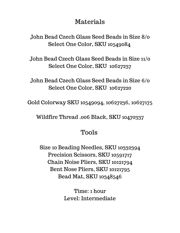# Materials

John Bead Czech Glass Seed Beads in Size 8/0 Select One Color, SKU 10549084

John Bead Czech Glass Seed Beads in Size 11/0 Select One Color, SKU 10627237

John Bead Czech Glass Seed Beads in Size 6/0 Select One Color, SKU 10627220

Gold Colorway SKU 10549094, 10627236, 10627175

Wildfire Thread .006 Black, SKU 10470337

## Tools

Size 10 Beading Needles, SKU 10332394 Precision Scissors, SKU 10591717 Chain Noise Pliers, SKU 10121794 Bent Nose Pliers, SKU 10121795 Bead Mat, SKU 10348546

> Time: 1 hour Level: Intermediate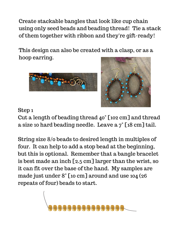Create stackable bangles that look like cup chain using only seed beads and beading thread! Tie a stack of them together with ribbon and they're gift-ready!

This design can also be created with a clasp, or as a hoop earring.





## Step 1

Cut a length of beading thread 40" [102 cm] and thread a size 10 hard beading needle. Leave a 7" [18 cm] tail.

String size 8/0 beads to desired length in multiples of four. It can help to add a stop bead at the beginning, but this is optional. Remember that a bangle bracelet is best made an inch [2.5 cm] larger than the wrist, so it can fit over the base of the hand. My samples are made just under 8" [10 cm] around and use 104 (26 repeats of four) beads to start.

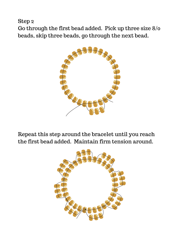Step 2

Go through the first bead added. Pick up three size 8/0 beads, skip three beads, go through the next bead.



Repeat this step around the bracelet until you reach the first bead added. Maintain firm tension around.

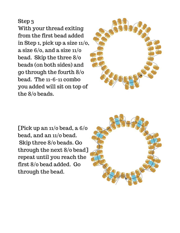### Step 3

With your thread exiting from the first bead added in Step 1, pick up a size 11/0, a size  $6/0$ , and a size  $11/0$ bead. Skip the three 8/0 beads (on both sides) and go through the fourth 8/0 bead. The 11-6-11 combo you added will sit on top of the 8/0 beads.



[Pick up an 11/0 bead, a 6/0 bead, and an 11/0 bead. Skip three 8/0 beads. Go through the next 8/0 bead] repeat until you reach the first 8/0 bead added. Go through the bead.

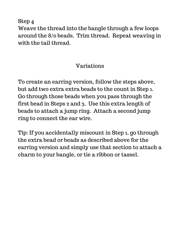Step 4

Weave the thread into the bangle through a few loops around the 8/0 beads. Trim thread. Repeat weaving in with the tail thread.

# Variations

To create an earring version, follow the steps above, but add two extra extra beads to the count in Step 1. Go through those beads when you pass through the first bead in Steps 2 and 3. Use this extra length of beads to attach a jump ring. Attach a second jump ring to connect the ear wire.

Tip: If you accidentally miscount in Step 1, go through the extra bead or beads as described above for the earring version and simply use that section to attach a charm to your bangle, or tie a ribbon or tassel.